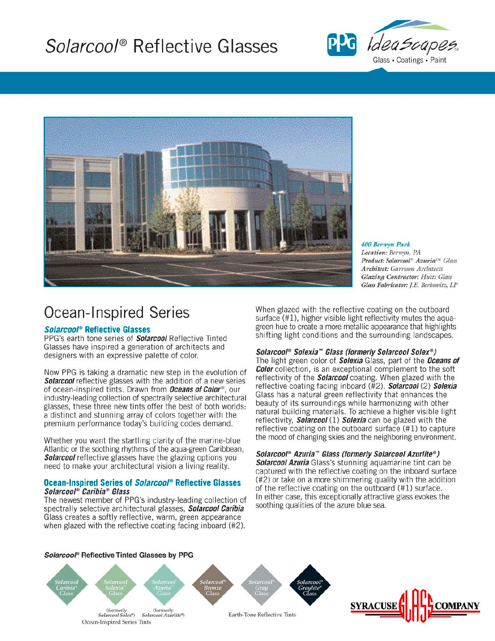# Solarcool® Reflective Glasses





400 Berwyn Park Location: Berwyn, PA Product: Solarcool® Azuria™ Glass **Architect:** Garrison Architects **Glazing Contractor: Hutts Glass** Glass Fabricator: I.E. Berkowitz, LP

### **Ocean-Inspired Series**

### **Solarcool® Reflective Glasses**

PPG's earth tone series of **Solarcool** Reflective Tinted Glasses have inspired a generation of architects and designers with an expressive palette of color.

Now PPG is taking a dramatic new step in the evolution of **Solarcool** reflective glasses with the addition of a new series of ocean-inspired tints. Drawn from **Oceans of Color**®, our industry-leading collection of spectrally selective architectural glasses, these three new tints offer the best of both worlds: a distinct and stunning array of colors together with the premium performance today's building codes demand.

Whether you want the startling clarity of the marine-blue Atlantic or the soothing rhythms of the agua-green Caribbean. **Solarcool** reflective glasses have the glazing options you need to make your architectural vision a living reality.

#### Ocean-Inspired Series of Solarcool® Reflective Glasses Solarcool® Caribia® Glass

The newest member of PPG's industry-leading collection of spectrally selective architectural glasses, Solarcool Caribia Glass creates a softly reflective, warm, green appearance when glazed with the reflective coating facing inboard (#2).

When glazed with the reflective coating on the outboard surface (#1), higher visible light reflectivity mutes the aquagreen hue to create a more metallic appearance that highlights shifting light conditions and the surrounding landscapes.

### Solarcool® Solexia™ Glass (formerly Solarcool Solex®)

The light green color of **Solexia** Glass, part of the **Oceans of Color** collection, is an exceptional complement to the soft reflectivity of the **Solarcool** coating. When glazed with the reflective coating facing inboard (#2), Solarcool (2) Solexia Glass has a natural green reflectivity that enhances the beauty of its surroundings while harmonizing with other natural building materials. To achieve a higher visible light reflectivity, *Solarcool* (1) Solexia can be glazed with the reflective coating on the outboard surface (#1) to capture the mood of changing skies and the neighboring environment.

Solarcool® Azuria™ Glass (formerly Solarcool Azurlite®) Solarcool Azuria Glass's stunning aquamarine tint can be captured with the reflective coating on the inboard surface (#2) or take on a more shimmering quality with the addition of the reflective coating on the outboard (#1) surface. In either case, this exceptionally attractive glass evokes the soothing qualities of the azure blue sea.